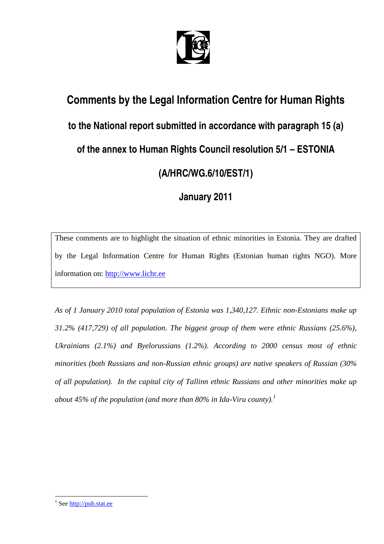

# **Comments by the Legal Information Centre for Human Rights to the National report submitted in accordance with paragraph 15 (a) of the annex to Human Rights Council resolution 5/1 – ESTONIA (A/HRC/WG.6/10/EST/1)**

# **January 2011**

These comments are to highlight the situation of ethnic minorities in Estonia. They are drafted by the Legal Information Centre for Human Rights (Estonian human rights NGO). More information on: http://www.lichr.ee

*As of 1 January 2010 total population of Estonia was 1,340,127. Ethnic non-Estonians make up 31.2% (417,729) of all population. The biggest group of them were ethnic Russians (25.6%), Ukrainians (2.1%) and Byelorussians (1.2%). According to 2000 census most of ethnic minorities (both Russians and non-Russian ethnic groups) are native speakers of Russian (30% of all population). In the capital city of Tallinn ethnic Russians and other minorities make up*  about 45% of the population (and more than 80% in Ida-Viru county).<sup>1</sup>

<sup>&</sup>lt;sup>1</sup> See http://pub.stat.ee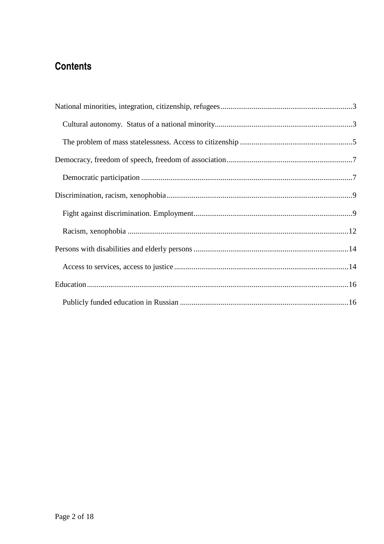# **Contents**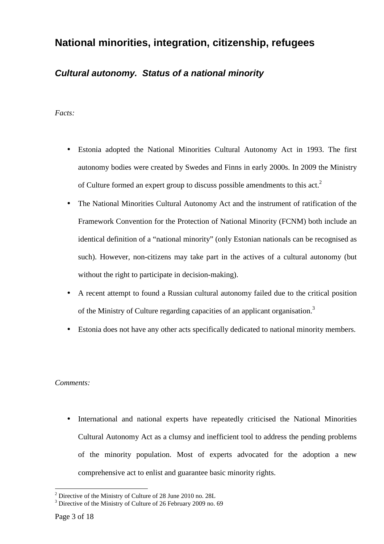# **National minorities, integration, citizenship, refugees**

### **Cultural autonomy. Status of a national minority**

#### *Facts:*

- Estonia adopted the National Minorities Cultural Autonomy Act in 1993. The first autonomy bodies were created by Swedes and Finns in early 2000s. In 2009 the Ministry of Culture formed an expert group to discuss possible amendments to this act.<sup>2</sup>
- The National Minorities Cultural Autonomy Act and the instrument of ratification of the Framework Convention for the Protection of National Minority (FCNM) both include an identical definition of a "national minority" (only Estonian nationals can be recognised as such). However, non-citizens may take part in the actives of a cultural autonomy (but without the right to participate in decision-making).
- A recent attempt to found a Russian cultural autonomy failed due to the critical position of the Ministry of Culture regarding capacities of an applicant organisation.<sup>3</sup>
- Estonia does not have any other acts specifically dedicated to national minority members.

#### *Comments:*

• International and national experts have repeatedly criticised the National Minorities Cultural Autonomy Act as a clumsy and inefficient tool to address the pending problems of the minority population. Most of experts advocated for the adoption a new comprehensive act to enlist and guarantee basic minority rights.

 $2^2$  Directive of the Ministry of Culture of 28 June 2010 no. 28L

<sup>&</sup>lt;sup>3</sup> Directive of the Ministry of Culture of 26 February 2009 no. 69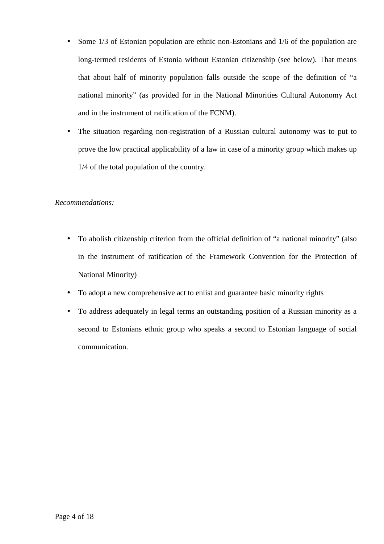- Some 1/3 of Estonian population are ethnic non-Estonians and 1/6 of the population are long-termed residents of Estonia without Estonian citizenship (see below). That means that about half of minority population falls outside the scope of the definition of "a national minority" (as provided for in the National Minorities Cultural Autonomy Act and in the instrument of ratification of the FCNM).
- The situation regarding non-registration of a Russian cultural autonomy was to put to prove the low practical applicability of a law in case of a minority group which makes up 1/4 of the total population of the country.

#### *Recommendations:*

- To abolish citizenship criterion from the official definition of "a national minority" (also in the instrument of ratification of the Framework Convention for the Protection of National Minority)
- To adopt a new comprehensive act to enlist and guarantee basic minority rights
- To address adequately in legal terms an outstanding position of a Russian minority as a second to Estonians ethnic group who speaks a second to Estonian language of social communication.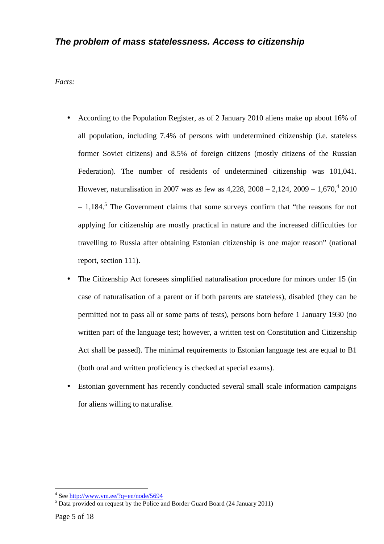### **The problem of mass statelessness. Access to citizenship**

*Facts:* 

- According to the Population Register, as of 2 January 2010 aliens make up about 16% of all population, including 7.4% of persons with undetermined citizenship (i.e. stateless former Soviet citizens) and 8.5% of foreign citizens (mostly citizens of the Russian Federation). The number of residents of undetermined citizenship was 101,041. However, naturalisation in 2007 was as few as  $4,228, 2008 - 2,124, 2009 - 1,670, 42010$  $-1,184$ .<sup>5</sup> The Government claims that some surveys confirm that "the reasons for not applying for citizenship are mostly practical in nature and the increased difficulties for travelling to Russia after obtaining Estonian citizenship is one major reason" (national report, section 111).
- The Citizenship Act foresees simplified naturalisation procedure for minors under 15 (in case of naturalisation of a parent or if both parents are stateless), disabled (they can be permitted not to pass all or some parts of tests), persons born before 1 January 1930 (no written part of the language test; however, a written test on Constitution and Citizenship Act shall be passed). The minimal requirements to Estonian language test are equal to B1 (both oral and written proficiency is checked at special exams).
- Estonian government has recently conducted several small scale information campaigns for aliens willing to naturalise.

<sup>&</sup>lt;sup>4</sup> See http://www.vm.ee/?q=en/node/5694

<sup>&</sup>lt;sup>5</sup> Data provided on request by the Police and Border Guard Board (24 January 2011)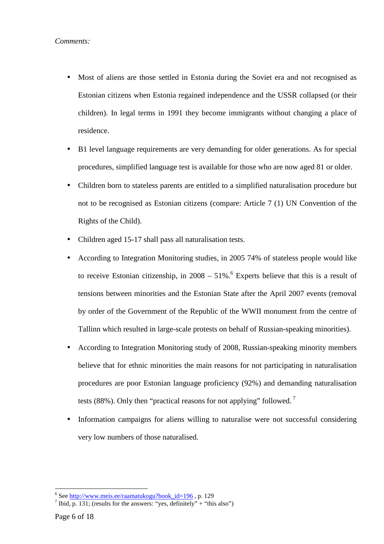- Most of aliens are those settled in Estonia during the Soviet era and not recognised as Estonian citizens when Estonia regained independence and the USSR collapsed (or their children). In legal terms in 1991 they become immigrants without changing a place of residence.
- B1 level language requirements are very demanding for older generations. As for special procedures, simplified language test is available for those who are now aged 81 or older.
- Children born to stateless parents are entitled to a simplified naturalisation procedure but not to be recognised as Estonian citizens (compare: Article 7 (1) UN Convention of the Rights of the Child).
- Children aged 15-17 shall pass all naturalisation tests.
- According to Integration Monitoring studies, in 2005 74% of stateless people would like to receive Estonian citizenship, in  $2008 - 51\%$ . Experts believe that this is a result of tensions between minorities and the Estonian State after the April 2007 events (removal by order of the Government of the Republic of the WWII monument from the centre of Tallinn which resulted in large-scale protests on behalf of Russian-speaking minorities).
- According to Integration Monitoring study of 2008, Russian-speaking minority members believe that for ethnic minorities the main reasons for not participating in naturalisation procedures are poor Estonian language proficiency (92%) and demanding naturalisation tests (88%). Only then "practical reasons for not applying" followed.<sup>7</sup>
- Information campaigns for aliens willing to naturalise were not successful considering very low numbers of those naturalised.

<sup>&</sup>lt;sup>6</sup> See http://www.meis.ee/raamatukogu?book\_id=196, p. 129

<sup>&</sup>lt;sup>7</sup> Ibid, p. 131; (results for the answers: "yes, definitely" + "this also")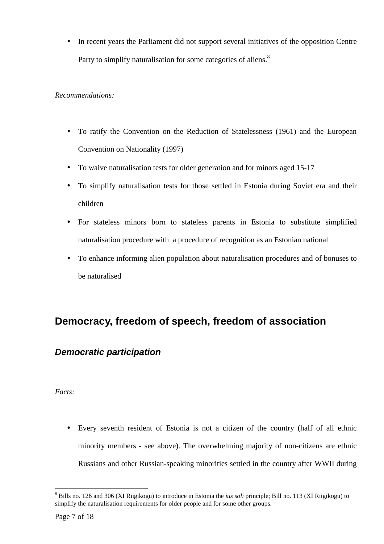• In recent years the Parliament did not support several initiatives of the opposition Centre Party to simplify naturalisation for some categories of aliens.<sup>8</sup>

#### *Recommendations:*

- To ratify the Convention on the Reduction of Statelessness (1961) and the European Convention on Nationality (1997)
- To waive naturalisation tests for older generation and for minors aged 15-17
- To simplify naturalisation tests for those settled in Estonia during Soviet era and their children
- For stateless minors born to stateless parents in Estonia to substitute simplified naturalisation procedure with a procedure of recognition as an Estonian national
- To enhance informing alien population about naturalisation procedures and of bonuses to be naturalised

# **Democracy, freedom of speech, freedom of association**

### **Democratic participation**

#### *Facts:*

• Every seventh resident of Estonia is not a citizen of the country (half of all ethnic minority members - see above). The overwhelming majority of non-citizens are ethnic Russians and other Russian-speaking minorities settled in the country after WWII during

<sup>8</sup> Bills no. 126 and 306 (XI Riigikogu) to introduce in Estonia the *ius soli* principle; Bill no. 113 (XI Riigikogu) to simplify the naturalisation requirements for older people and for some other groups.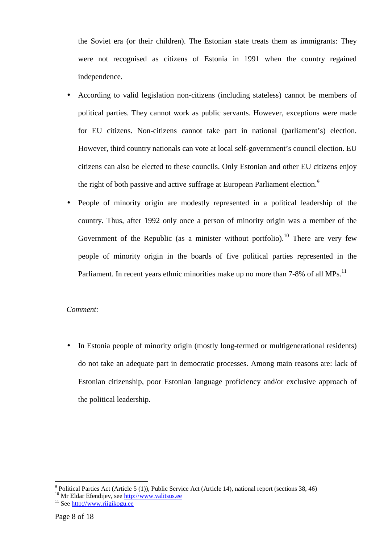the Soviet era (or their children). The Estonian state treats them as immigrants: They were not recognised as citizens of Estonia in 1991 when the country regained independence.

- According to valid legislation non-citizens (including stateless) cannot be members of political parties. They cannot work as public servants. However, exceptions were made for EU citizens. Non-citizens cannot take part in national (parliament's) election. However, third country nationals can vote at local self-government's council election. EU citizens can also be elected to these councils. Only Estonian and other EU citizens enjoy the right of both passive and active suffrage at European Parliament election.<sup>9</sup>
- People of minority origin are modestly represented in a political leadership of the country. Thus, after 1992 only once a person of minority origin was a member of the Government of the Republic (as a minister without portfolio).<sup>10</sup> There are very few people of minority origin in the boards of five political parties represented in the Parliament. In recent years ethnic minorities make up no more than 7-8% of all MPs.<sup>11</sup>

#### *Comment:*

• In Estonia people of minority origin (mostly long-termed or multigenerational residents) do not take an adequate part in democratic processes. Among main reasons are: lack of Estonian citizenship, poor Estonian language proficiency and/or exclusive approach of the political leadership.

<sup>&</sup>lt;sup>9</sup> Political Parties Act (Article 5 (1)), Public Service Act (Article 14), national report (sections 38, 46)

<sup>&</sup>lt;sup>10</sup> Mr Eldar Efendijev, see http://www.valitsus.ee

<sup>&</sup>lt;sup>11</sup> See http://www.riigikogu.ee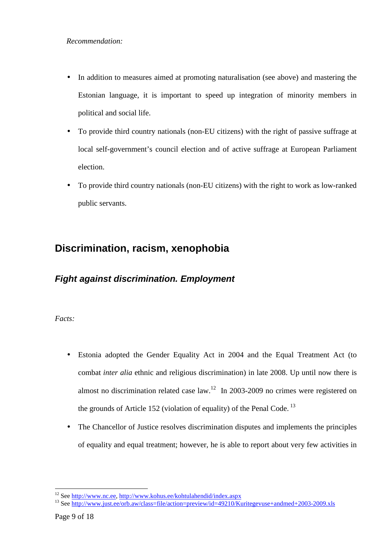- In addition to measures aimed at promoting naturalisation (see above) and mastering the Estonian language, it is important to speed up integration of minority members in political and social life.
- To provide third country nationals (non-EU citizens) with the right of passive suffrage at local self-government's council election and of active suffrage at European Parliament election.
- To provide third country nationals (non-EU citizens) with the right to work as low-ranked public servants.

# **Discrimination, racism, xenophobia**

# **Fight against discrimination. Employment**

*Facts:* 

- Estonia adopted the Gender Equality Act in 2004 and the Equal Treatment Act (to combat *inter alia* ethnic and religious discrimination) in late 2008. Up until now there is almost no discrimination related case law.<sup>12</sup> In 2003-2009 no crimes were registered on the grounds of Article 152 (violation of equality) of the Penal Code.<sup>13</sup>
- The Chancellor of Justice resolves discrimination disputes and implements the principles of equality and equal treatment; however, he is able to report about very few activities in

<sup>&</sup>lt;sup>12</sup> See http://www.nc.ee, http://www.kohus.ee/kohtulahendid/index.aspx

<sup>&</sup>lt;sup>13</sup> See http://www.just.ee/orb.aw/class=file/action=preview/id=49210/Kuritegevuse+andmed+2003-2009.xls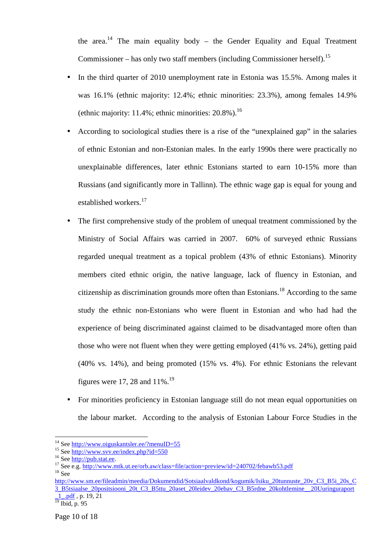the area.<sup>14</sup> The main equality body – the Gender Equality and Equal Treatment Commissioner – has only two staff members (including Commissioner herself).<sup>15</sup>

- In the third quarter of 2010 unemployment rate in Estonia was 15.5%. Among males it was 16.1% (ethnic majority: 12.4%; ethnic minorities: 23.3%), among females 14.9% (ethnic majority: 11.4%; ethnic minorities:  $20.8\%$ ).<sup>16</sup>
- According to sociological studies there is a rise of the "unexplained gap" in the salaries of ethnic Estonian and non-Estonian males. In the early 1990s there were practically no unexplainable differences, later ethnic Estonians started to earn 10-15% more than Russians (and significantly more in Tallinn). The ethnic wage gap is equal for young and established workers.<sup>17</sup>
- The first comprehensive study of the problem of unequal treatment commissioned by the Ministry of Social Affairs was carried in 2007. 60% of surveyed ethnic Russians regarded unequal treatment as a topical problem (43% of ethnic Estonians). Minority members cited ethnic origin, the native language, lack of fluency in Estonian, and citizenship as discrimination grounds more often than Estonians.<sup>18</sup> According to the same study the ethnic non-Estonians who were fluent in Estonian and who had had the experience of being discriminated against claimed to be disadvantaged more often than those who were not fluent when they were getting employed (41% vs. 24%), getting paid (40% vs. 14%), and being promoted (15% vs. 4%). For ethnic Estonians the relevant figures were 17, 28 and  $11\%$ .<sup>19</sup>
- For minorities proficiency in Estonian language still do not mean equal opportunities on the labour market. According to the analysis of Estonian Labour Force Studies in the

<sup>&</sup>lt;sup>14</sup> See http://www.oiguskantsler.ee/?menuID=55

<sup>15</sup> See http://www.svv.ee/index.php?id=550

<sup>&</sup>lt;sup>16</sup> See http://pub.stat.ee.

<sup>&</sup>lt;sup>17</sup> See e.g. http://www.mtk.ut.ee/orb.aw/class=file/action=preview/id=240702/febawb53.pdf  $18$  See

http://www.sm.ee/fileadmin/meedia/Dokumendid/Sotsiaalvaldkond/kogumik/Isiku\_20tunnuste\_20v\_C3\_B5i\_20s\_C 3\_B5tsiaalse\_20positsiooni\_20t\_C3\_B5ttu\_20aset\_20leidev\_20ebav\_C3\_B5rdne\_20kohtlemine\_\_20Uuringuraport  $1$ <sub>...pdf</sub>, p. 19, 21

 $\frac{1}{19}$  Ibid, p. 95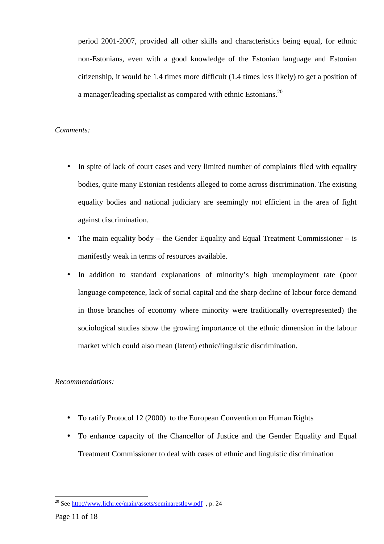period 2001-2007, provided all other skills and characteristics being equal, for ethnic non-Estonians, even with a good knowledge of the Estonian language and Estonian citizenship, it would be 1.4 times more difficult (1.4 times less likely) to get a position of a manager/leading specialist as compared with ethnic Estonians.<sup>20</sup>

#### *Comments:*

- In spite of lack of court cases and very limited number of complaints filed with equality bodies, quite many Estonian residents alleged to come across discrimination. The existing equality bodies and national judiciary are seemingly not efficient in the area of fight against discrimination.
- The main equality body the Gender Equality and Equal Treatment Commissioner is manifestly weak in terms of resources available.
- In addition to standard explanations of minority's high unemployment rate (poor language competence, lack of social capital and the sharp decline of labour force demand in those branches of economy where minority were traditionally overrepresented) the sociological studies show the growing importance of the ethnic dimension in the labour market which could also mean (latent) ethnic/linguistic discrimination.

#### *Recommendations:*

- To ratify Protocol 12 (2000) to the European Convention on Human Rights
- To enhance capacity of the Chancellor of Justice and the Gender Equality and Equal Treatment Commissioner to deal with cases of ethnic and linguistic discrimination

 $20$  See http://www.lichr.ee/main/assets/seminarestlow.pdf, p. 24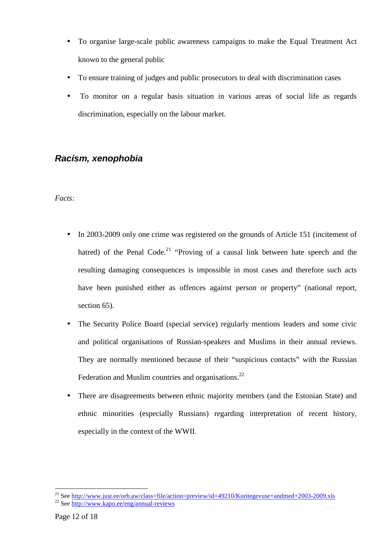- To organise large-scale public awareness campaigns to make the Equal Treatment Act known to the general public
- To ensure training of judges and public prosecutors to deal with discrimination cases
- To monitor on a regular basis situation in various areas of social life as regards discrimination, especially on the labour market.

### **Racism, xenophobia**

#### *Facts:*

- In 2003-2009 only one crime was registered on the grounds of Article 151 (incitement of hatred) of the Penal Code.<sup>21</sup> "Proving of a causal link between hate speech and the resulting damaging consequences is impossible in most cases and therefore such acts have been punished either as offences against person or property" (national report, section 65).
- The Security Police Board (special service) regularly mentions leaders and some civic and political organisations of Russian-speakers and Muslims in their annual reviews. They are normally mentioned because of their "suspicious contacts" with the Russian Federation and Muslim countries and organisations. $^{22}$
- There are disagreements between ethnic majority members (and the Estonian State) and ethnic minorities (especially Russians) regarding interpretation of recent history, especially in the context of the WWII.

<sup>&</sup>lt;sup>21</sup> See http://www.just.ee/orb.aw/class=file/action=preview/id=49210/Kuritegevuse+andmed+2003-2009.xls <sup>22</sup> See http://www.kapo.ee/eng/annual-reviews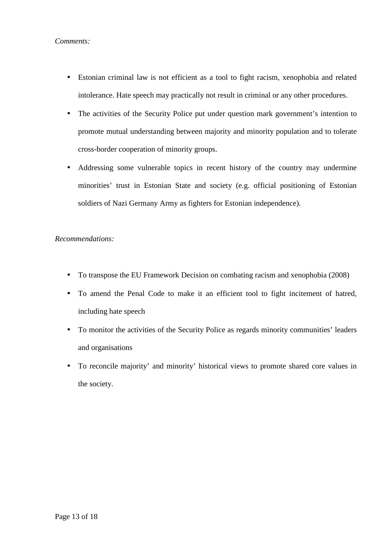#### *Comments:*

- Estonian criminal law is not efficient as a tool to fight racism, xenophobia and related intolerance. Hate speech may practically not result in criminal or any other procedures.
- The activities of the Security Police put under question mark government's intention to promote mutual understanding between majority and minority population and to tolerate cross-border cooperation of minority groups.
- Addressing some vulnerable topics in recent history of the country may undermine minorities' trust in Estonian State and society (e.g. official positioning of Estonian soldiers of Nazi Germany Army as fighters for Estonian independence).

#### *Recommendations:*

- To transpose the EU Framework Decision on combating racism and xenophobia (2008)
- To amend the Penal Code to make it an efficient tool to fight incitement of hatred, including hate speech
- To monitor the activities of the Security Police as regards minority communities' leaders and organisations
- To reconcile majority' and minority' historical views to promote shared core values in the society.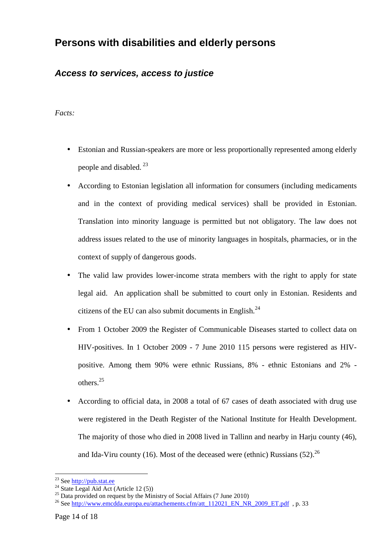# **Persons with disabilities and elderly persons**

### **Access to services, access to justice**

#### *Facts:*

- Estonian and Russian-speakers are more or less proportionally represented among elderly people and disabled.  $^{23}$
- According to Estonian legislation all information for consumers (including medicaments and in the context of providing medical services) shall be provided in Estonian. Translation into minority language is permitted but not obligatory. The law does not address issues related to the use of minority languages in hospitals, pharmacies, or in the context of supply of dangerous goods.
- The valid law provides lower-income strata members with the right to apply for state legal aid. An application shall be submitted to court only in Estonian. Residents and citizens of the EU can also submit documents in English. $^{24}$
- From 1 October 2009 the Register of Communicable Diseases started to collect data on HIV-positives. In 1 October 2009 - 7 June 2010 115 persons were registered as HIVpositive. Among them 90% were ethnic Russians, 8% - ethnic Estonians and 2% others.<sup>25</sup>
- According to official data, in 2008 a total of 67 cases of death associated with drug use were registered in the Death Register of the National Institute for Health Development. The majority of those who died in 2008 lived in Tallinn and nearby in Harju county (46), and Ida-Viru county (16). Most of the deceased were (ethnic) Russians  $(52)$ <sup>26</sup>

 $\overline{a}$ <sup>23</sup> See http://pub.stat.ee

 $^{24}$  State Legal Aid Act (Article 12 (5))

 $25$  Data provided on request by the Ministry of Social Affairs (7 June 2010)

<sup>&</sup>lt;sup>26</sup> See http://www.emcdda.europa.eu/attachements.cfm/att\_112021\_EN\_NR\_2009\_ET.pdf , p. 33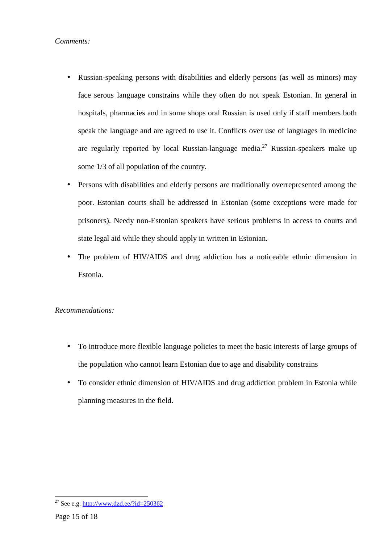- Russian-speaking persons with disabilities and elderly persons (as well as minors) may face serous language constrains while they often do not speak Estonian. In general in hospitals, pharmacies and in some shops oral Russian is used only if staff members both speak the language and are agreed to use it. Conflicts over use of languages in medicine are regularly reported by local Russian-language media.<sup>27</sup> Russian-speakers make up some 1/3 of all population of the country.
- Persons with disabilities and elderly persons are traditionally overrepresented among the poor. Estonian courts shall be addressed in Estonian (some exceptions were made for prisoners). Needy non-Estonian speakers have serious problems in access to courts and state legal aid while they should apply in written in Estonian.
- The problem of HIV/AIDS and drug addiction has a noticeable ethnic dimension in Estonia.

### *Recommendations:*

- To introduce more flexible language policies to meet the basic interests of large groups of the population who cannot learn Estonian due to age and disability constrains
- To consider ethnic dimension of HIV/AIDS and drug addiction problem in Estonia while planning measures in the field.

<sup>&</sup>lt;sup>27</sup> See e.g. http://www.dzd.ee/?id=250362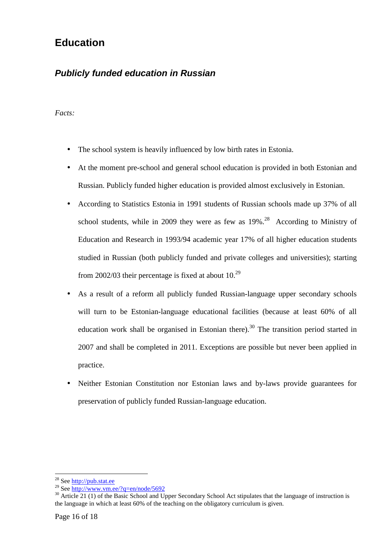# **Education**

# **Publicly funded education in Russian**

*Facts:* 

- The school system is heavily influenced by low birth rates in Estonia.
- At the moment pre-school and general school education is provided in both Estonian and Russian. Publicly funded higher education is provided almost exclusively in Estonian.
- According to Statistics Estonia in 1991 students of Russian schools made up 37% of all school students, while in 2009 they were as few as  $19\%$ .<sup>28</sup> According to Ministry of Education and Research in 1993/94 academic year 17% of all higher education students studied in Russian (both publicly funded and private colleges and universities); starting from 2002/03 their percentage is fixed at about  $10^{29}$
- As a result of a reform all publicly funded Russian-language upper secondary schools will turn to be Estonian-language educational facilities (because at least 60% of all education work shall be organised in Estonian there).<sup>30</sup> The transition period started in 2007 and shall be completed in 2011. Exceptions are possible but never been applied in practice.
- Neither Estonian Constitution nor Estonian laws and by-laws provide guarantees for preservation of publicly funded Russian-language education.

 $\overline{a}$ <sup>28</sup> See http://pub.stat.ee

<sup>&</sup>lt;sup>29</sup> See http://www.vm.ee/?q=en/node/5692

<sup>&</sup>lt;sup>30</sup> Article 21 (1) of the Basic School and Upper Secondary School Act stipulates that the language of instruction is the language in which at least 60% of the teaching on the obligatory curriculum is given.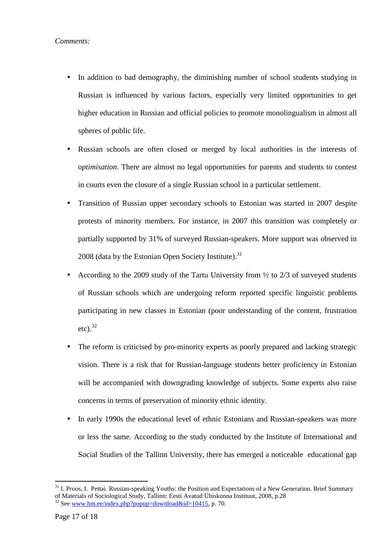- In addition to bad demography, the diminishing number of school students studying in Russian is influenced by various factors, especially very limited opportunities to get higher education in Russian and official policies to promote monolingualism in almost all spheres of public life.
- Russian schools are often closed or merged by local authorities in the interests of *optimisation*. There are almost no legal opportunities for parents and students to contest in courts even the closure of a single Russian school in a particular settlement.
- Transition of Russian upper secondary schools to Estonian was started in 2007 despite protests of minority members. For instance, in 2007 this transition was completely or partially supported by 31% of surveyed Russian-speakers. More support was observed in 2008 (data by the Estonian Open Society Institute). $31$
- According to the 2009 study of the Tartu University from  $\frac{1}{2}$  to 2/3 of surveyed students of Russian schools which are undergoing reform reported specific linguistic problems participating in new classes in Estonian (poor understanding of the content, frustration etc). $32$
- The reform is criticised by pro-minority experts as poorly prepared and lacking strategic vision. There is a risk that for Russian-language students better proficiency in Estonian will be accompanied with downgrading knowledge of subjects. Some experts also raise concerns in terms of preservation of minority ethnic identity.
- In early 1990s the educational level of ethnic Estonians and Russian-speakers was more or less the same. According to the study conducted by the Institute of International and Social Studies of the Tallinn University, there has emerged a noticeable educational gap

 $\overline{a}$  $31$  I. Proos, I. Pettai. Russian-speaking Youths: the Position and Expectations of a New Generation. Brief Summary of Materials of Sociological Study, Tallinn: Eesti Avatud Ühiskonna Instituut, 2008, p.28

<sup>&</sup>lt;sup>32</sup> See www.hm.ee/index.php?popup=download&id=10415, p. 70.